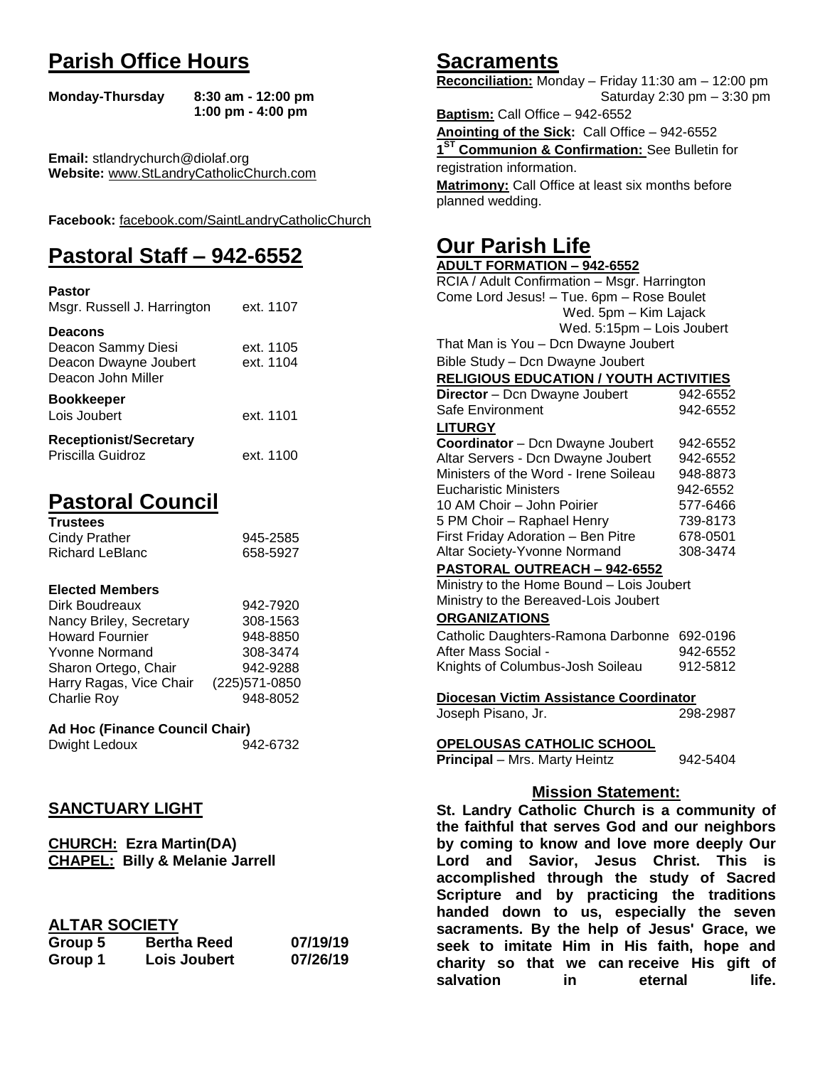# **Parish Office Hours**

```
Monday-Thursday 8:30 am - 12:00 pm
       1:00 pm - 4:00 pm
```
**Email:** stlandrychurch@diolaf.org **Website:** [www.StLandryCatholicChurch.com](http://www.stlandrycatholicchurch.com/)

**Facebook:** [facebook.com/SaintLandryCatholicChurch](http://facebook.com/SaintLandryCatholicChurch)

# **Pastoral Staff – 942-6552**

| <b>Pastor</b><br>Msgr. Russell J. Harrington                                        | ext. 1107              |
|-------------------------------------------------------------------------------------|------------------------|
| <b>Deacons</b><br>Deacon Sammy Diesi<br>Deacon Dwayne Joubert<br>Deacon John Miller | ext. 1105<br>ext. 1104 |
| <b>Bookkeeper</b><br>Lois Joubert                                                   | ext. 1101              |
| <b>Receptionist/Secretary</b><br>Priscilla Guidroz                                  | ext. 1100              |

# **Pastoral Council**

| <b>Trustees</b> |          |
|-----------------|----------|
| Cindy Prather   | 945-2585 |
| Richard LeBlanc | 658-5927 |

#### **Elected Members**

| Dirk Boudreaux          | 942-7920       |
|-------------------------|----------------|
| Nancy Briley, Secretary | 308-1563       |
| <b>Howard Fournier</b>  | 948-8850       |
| <b>Yvonne Normand</b>   | 308-3474       |
| Sharon Ortego, Chair    | 942-9288       |
| Harry Ragas, Vice Chair | (225) 571-0850 |
| <b>Charlie Roy</b>      | 948-8052       |

## **Ad Hoc (Finance Council Chair)**

Dwight Ledoux 942-6732

#### **SANCTUARY LIGHT**

**CHURCH: Ezra Martin(DA) CHAPEL: Billy & Melanie Jarrell**

#### **ALTAR SOCIETY**

| Group 5 | <b>Bertha Reed</b> | 07/19/19 |
|---------|--------------------|----------|
| Group 1 | Lois Joubert       | 07/26/19 |

## **Sacraments**

**Reconciliation:** Monday – Friday 11:30 am – 12:00 pm Saturday 2:30 pm – 3:30 pm

**Baptism:** Call Office – 942-6552 **Anointing of the Sick:** Call Office – 942-6552 **1 ST Communion & Confirmation:** See Bulletin for registration information. **Matrimony:** Call Office at least six months before planned wedding.

# **Our Parish Life**

| <b>ADULT FORMATION - 942-6552</b>              |                       |  |
|------------------------------------------------|-----------------------|--|
| RCIA / Adult Confirmation - Msgr. Harrington   |                       |  |
| Come Lord Jesus! - Tue. 6pm - Rose Boulet      |                       |  |
| Wed. 5pm - Kim Lajack                          |                       |  |
| Wed. 5:15pm - Lois Joubert                     |                       |  |
| That Man is You - Dcn Dwayne Joubert           |                       |  |
| Bible Study - Dcn Dwayne Joubert               |                       |  |
| <b>RELIGIOUS EDUCATION / YOUTH ACTIVITIES</b>  |                       |  |
| Director - Dcn Dwayne Joubert                  | 942-6552              |  |
| Safe Environment                               | 942-6552              |  |
| <b>LITURGY</b>                                 |                       |  |
| Coordinator - Dcn Dwayne Joubert               | 942-6552              |  |
| Altar Servers - Dcn Dwayne Joubert             | 942-6552              |  |
| Ministers of the Word - Irene Soileau          | 948-8873              |  |
| <b>Eucharistic Ministers</b>                   | 942-6552              |  |
| 10 AM Choir - John Poirier                     | 577-6466              |  |
| 5 PM Choir - Raphael Henry                     | 739-8173              |  |
| First Friday Adoration - Ben Pitre             | 678-0501              |  |
| Altar Society-Yvonne Normand                   | 308-3474              |  |
| PASTORAL OUTREACH - 942-6552                   |                       |  |
| Ministry to the Home Bound - Lois Joubert      |                       |  |
| Ministry to the Bereaved-Lois Joubert          |                       |  |
| <b>ORGANIZATIONS</b>                           |                       |  |
| Catholic Daughters-Ramona Darbonne 692-0196    |                       |  |
| After Mass Social -                            | 942-6552              |  |
| Knights of Columbus-Josh Soileau               | 912-5812              |  |
|                                                |                       |  |
| Diocesan Victim Assistance Coordinator         |                       |  |
| Joseph Pisano, Jr.                             | 298-2987              |  |
|                                                |                       |  |
| OPELOUSAS CATHOLIC SCHOOL                      |                       |  |
| Principal - Mrs. Marty Heintz                  | 942-5404              |  |
|                                                |                       |  |
| <b>Mission Statement:</b>                      |                       |  |
| St. Landry Catholic Church is a community of   |                       |  |
| the faithful that serves God and our neighbors |                       |  |
| by coming to know and love more deeply Our     |                       |  |
| Lord<br>Savior,<br>Jesus<br>and                | Christ.<br>This<br>is |  |

**by coming to know and love more deeply Our Lord and Savior, Jesus Christ. This is accomplished through the study of Sacred Scripture and by practicing the traditions handed down to us, especially the seven sacraments. By the help of Jesus' Grace, we seek to imitate Him in His faith, hope and charity so that we can receive His gift of salvation in** eternal life.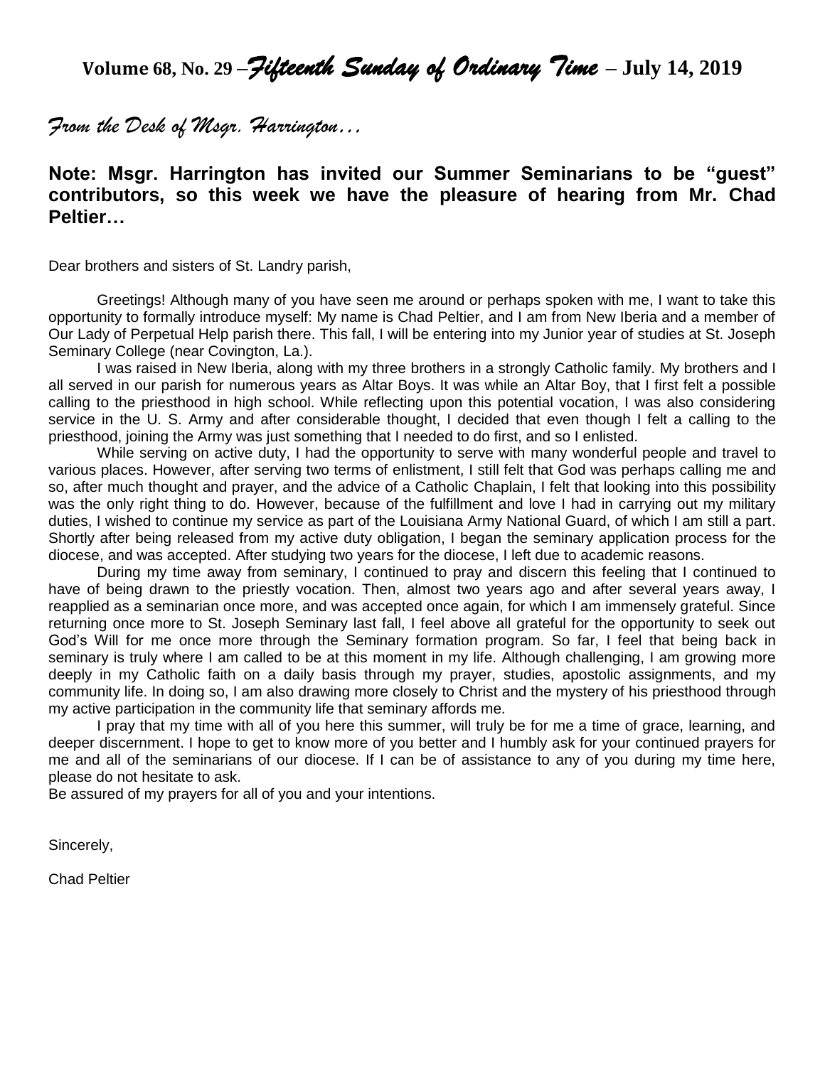**Volume 68, No. 29 –***Fifteenth Sunday of Ordinary Time* **– July 14, 2019**

*From the Desk of Msgr. Harrington…*

## **Note: Msgr. Harrington has invited our Summer Seminarians to be "guest" contributors, so this week we have the pleasure of hearing from Mr. Chad Peltier…**

Dear brothers and sisters of St. Landry parish,

Greetings! Although many of you have seen me around or perhaps spoken with me, I want to take this opportunity to formally introduce myself: My name is Chad Peltier, and I am from New Iberia and a member of Our Lady of Perpetual Help parish there. This fall, I will be entering into my Junior year of studies at St. Joseph Seminary College (near Covington, La.).

I was raised in New Iberia, along with my three brothers in a strongly Catholic family. My brothers and I all served in our parish for numerous years as Altar Boys. It was while an Altar Boy, that I first felt a possible calling to the priesthood in high school. While reflecting upon this potential vocation, I was also considering service in the U. S. Army and after considerable thought, I decided that even though I felt a calling to the priesthood, joining the Army was just something that I needed to do first, and so I enlisted.

While serving on active duty, I had the opportunity to serve with many wonderful people and travel to various places. However, after serving two terms of enlistment, I still felt that God was perhaps calling me and so, after much thought and prayer, and the advice of a Catholic Chaplain, I felt that looking into this possibility was the only right thing to do. However, because of the fulfillment and love I had in carrying out my military duties, I wished to continue my service as part of the Louisiana Army National Guard, of which I am still a part. Shortly after being released from my active duty obligation, I began the seminary application process for the diocese, and was accepted. After studying two years for the diocese, I left due to academic reasons.

During my time away from seminary, I continued to pray and discern this feeling that I continued to have of being drawn to the priestly vocation. Then, almost two years ago and after several years away, I reapplied as a seminarian once more, and was accepted once again, for which I am immensely grateful. Since returning once more to St. Joseph Seminary last fall, I feel above all grateful for the opportunity to seek out God's Will for me once more through the Seminary formation program. So far, I feel that being back in seminary is truly where I am called to be at this moment in my life. Although challenging, I am growing more deeply in my Catholic faith on a daily basis through my prayer, studies, apostolic assignments, and my community life. In doing so, I am also drawing more closely to Christ and the mystery of his priesthood through my active participation in the community life that seminary affords me.

I pray that my time with all of you here this summer, will truly be for me a time of grace, learning, and deeper discernment. I hope to get to know more of you better and I humbly ask for your continued prayers for me and all of the seminarians of our diocese. If I can be of assistance to any of you during my time here, please do not hesitate to ask.

Be assured of my prayers for all of you and your intentions.

Sincerely,

Chad Peltier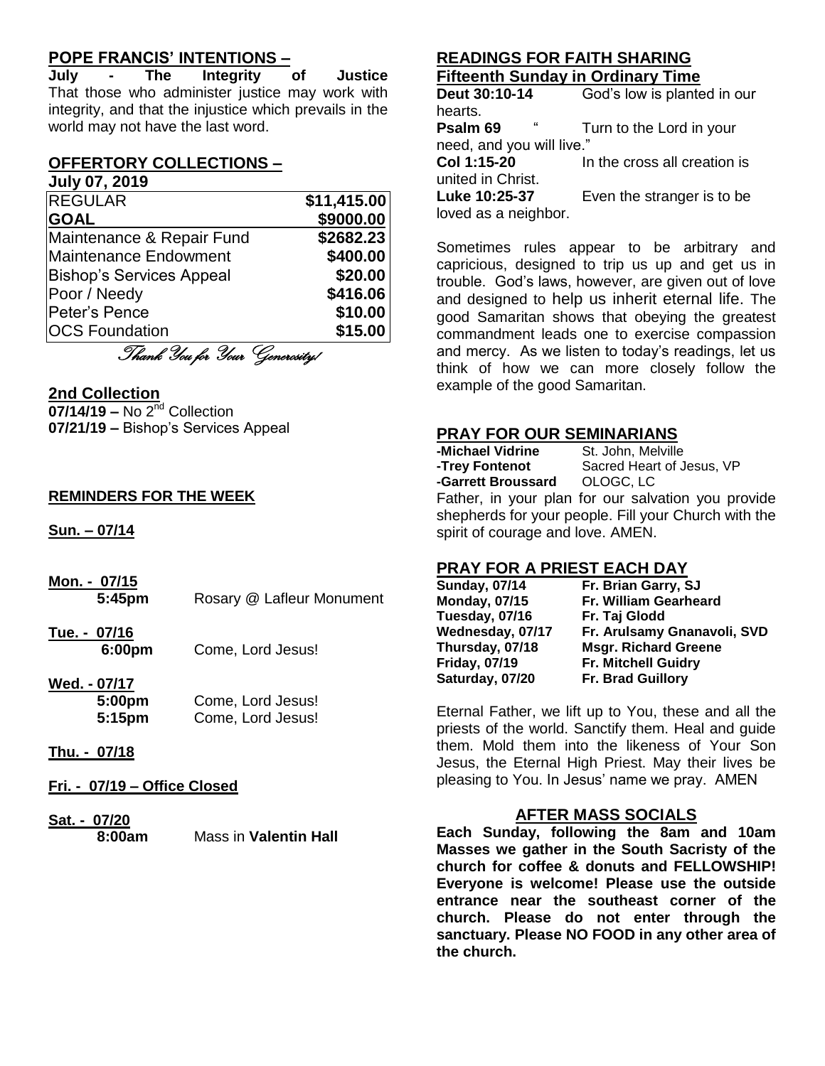#### **POPE FRANCIS' INTENTIONS –**

**July - The Integrity of Justice** That those who administer justice may work with integrity, and that the injustice which prevails in the world may not have the last word.

#### **OFFERTORY COLLECTIONS –**

#### **July 07, 2019**

| <b>REGULAR</b>                  | \$11,415.00 |
|---------------------------------|-------------|
| <b>GOAL</b>                     | \$9000.00   |
| Maintenance & Repair Fund       | \$2682.23   |
| <b>Maintenance Endowment</b>    | \$400.00    |
| <b>Bishop's Services Appeal</b> | \$20.00     |
| Poor / Needy                    | \$416.06    |
| Peter's Pence                   | \$10.00     |
| <b>OCS Foundation</b>           | \$15.00     |
| Thank You for Your Generosity/  |             |

#### **2nd Collection**

**07/14/19 – No 2<sup>nd</sup> Collection 07/21/19 –** Bishop's Services Appeal

#### **REMINDERS FOR THE WEEK**

**Sun. – 07/14**

- **Mon. - 07/15 5:45pm** Rosary @ Lafleur Monument
- **Tue. - 07/16 6:00pm** Come, Lord Jesus!
- **Wed. - 07/17 5:00pm** Come, Lord Jesus! **5:15pm** Come, Lord Jesus!
- **Thu. - 07/18**
- **Fri. - 07/19 – Office Closed**
- **Sat. - 07/20 Mass in Valentin Hall**

#### **READINGS FOR FAITH SHARING Fifteenth Sunday in Ordinary Time**

**Deut 30:10-14** God's low is planted in our hearts. **Psalm 69** " Turn to the Lord in your need, and you will live." **Col 1:15-20** In the cross all creation is united in Christ. **Luke 10:25-37** Even the stranger is to be loved as a neighbor.

Sometimes rules appear to be arbitrary and capricious, designed to trip us up and get us in trouble. God's laws, however, are given out of love and designed to help us inherit eternal life. The good Samaritan shows that obeying the greatest commandment leads one to exercise compassion and mercy. As we listen to today's readings, let us think of how we can more closely follow the example of the good Samaritan.

#### **PRAY FOR OUR SEMINARIANS**

| -Michael Vidrine                                     | St. John, Melville        |
|------------------------------------------------------|---------------------------|
| -Trey Fontenot                                       | Sacred Heart of Jesus, VP |
| -Garrett Broussard OLOGC, LC                         |                           |
| Father, in your plan for our salvation you provide   |                           |
| shepherds for your people. Fill your Church with the |                           |
| spirit of courage and love. AMEN.                    |                           |

#### **PRAY FOR A PRIEST EACH DAY**

| <b>Sunday, 07/14</b> | Fr. Brian Garry, SJ         |
|----------------------|-----------------------------|
| <b>Monday, 07/15</b> | Fr. William Gearheard       |
| Tuesday, 07/16       | Fr. Taj Glodd               |
| Wednesday, 07/17     | Fr. Arulsamy Gnanavoli, SVD |
| Thursday, 07/18      | <b>Msgr. Richard Greene</b> |
| <b>Friday, 07/19</b> | <b>Fr. Mitchell Guidry</b>  |
| Saturday, 07/20      | <b>Fr. Brad Guillory</b>    |
|                      |                             |

Eternal Father, we lift up to You, these and all the priests of the world. Sanctify them. Heal and guide them. Mold them into the likeness of Your Son Jesus, the Eternal High Priest. May their lives be pleasing to You. In Jesus' name we pray. AMEN

#### **AFTER MASS SOCIALS**

**Each Sunday, following the 8am and 10am Masses we gather in the South Sacristy of the church for coffee & donuts and FELLOWSHIP! Everyone is welcome! Please use the outside entrance near the southeast corner of the church. Please do not enter through the sanctuary. Please NO FOOD in any other area of the church.**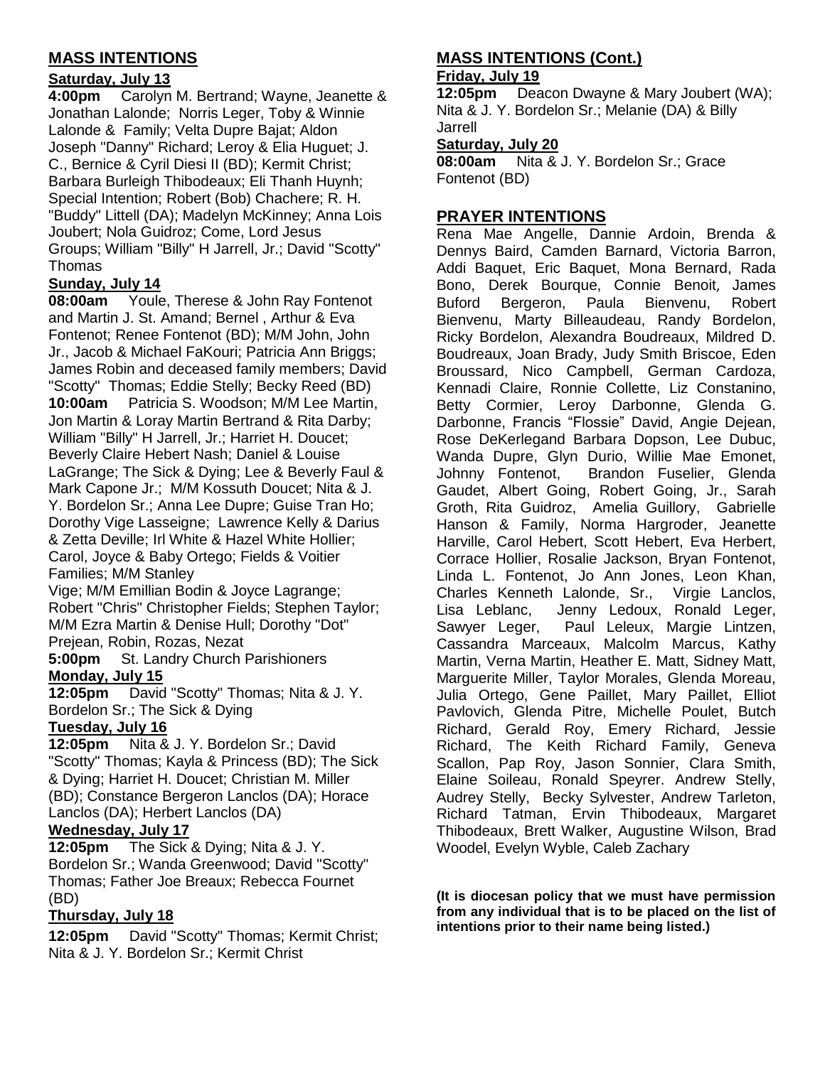### **MASS INTENTIONS**

#### **Saturday, July 13**

**4:00pm** Carolyn M. Bertrand; Wayne, Jeanette & Jonathan Lalonde; Norris Leger, Toby & Winnie Lalonde & Family; Velta Dupre Bajat; Aldon Joseph "Danny" Richard; Leroy & Elia Huguet; J. C., Bernice & Cyril Diesi II (BD); Kermit Christ; Barbara Burleigh Thibodeaux; Eli Thanh Huynh; Special Intention; Robert (Bob) Chachere; R. H. "Buddy" Littell (DA); Madelyn McKinney; Anna Lois Joubert; Nola Guidroz; Come, Lord Jesus Groups; William "Billy" H Jarrell, Jr.; David "Scotty" Thomas

#### **Sunday, July 14**

**08:00am** Youle, Therese & John Ray Fontenot and Martin J. St. Amand; Bernel , Arthur & Eva Fontenot; Renee Fontenot (BD); M/M John, John Jr., Jacob & Michael FaKouri; Patricia Ann Briggs: James Robin and deceased family members; David "Scotty" Thomas; Eddie Stelly; Becky Reed (BD) **10:00am** Patricia S. Woodson; M/M Lee Martin, Jon Martin & Loray Martin Bertrand & Rita Darby; William "Billy" H Jarrell, Jr.; Harriet H. Doucet; Beverly Claire Hebert Nash; Daniel & Louise LaGrange; The Sick & Dying; Lee & Beverly Faul & Mark Capone Jr.; M/M Kossuth Doucet; Nita & J. Y. Bordelon Sr.; Anna Lee Dupre; Guise Tran Ho; Dorothy Vige Lasseigne; Lawrence Kelly & Darius & Zetta Deville; Irl White & Hazel White Hollier; Carol, Joyce & Baby Ortego; Fields & Voitier Families; M/M Stanley

Vige; M/M Emillian Bodin & Joyce Lagrange; Robert "Chris" Christopher Fields; Stephen Taylor; M/M Ezra Martin & Denise Hull; Dorothy "Dot" Prejean, Robin, Rozas, Nezat

**5:00pm** St. Landry Church Parishioners **Monday, July 15**

**12:05pm** David "Scotty" Thomas; Nita & J. Y. Bordelon Sr.; The Sick & Dying

#### **Tuesday, July 16**

**12:05pm** Nita & J. Y. Bordelon Sr.; David "Scotty" Thomas; Kayla & Princess (BD); The Sick & Dying; Harriet H. Doucet; Christian M. Miller (BD); Constance Bergeron Lanclos (DA); Horace Lanclos (DA); Herbert Lanclos (DA)

#### **Wednesday, July 17**

**12:05pm** The Sick & Dying; Nita & J. Y. Bordelon Sr.; Wanda Greenwood; David "Scotty" Thomas; Father Joe Breaux; Rebecca Fournet (BD)

#### **Thursday, July 18**

**12:05pm** David "Scotty" Thomas; Kermit Christ; Nita & J. Y. Bordelon Sr.; Kermit Christ

#### **MASS INTENTIONS (Cont.) Friday, July 19**

**12:05pm** Deacon Dwayne & Mary Joubert (WA); Nita & J. Y. Bordelon Sr.; Melanie (DA) & Billy Jarrell

#### **Saturday, July 20**

**08:00am** Nita & J. Y. Bordelon Sr.; Grace Fontenot (BD)

#### **PRAYER INTENTIONS**

Rena Mae Angelle, Dannie Ardoin, Brenda & Dennys Baird, Camden Barnard, Victoria Barron, Addi Baquet, Eric Baquet, Mona Bernard, Rada Bono, Derek Bourque, Connie Benoit, James Buford Bergeron, Paula Bienvenu, Robert Bienvenu, Marty Billeaudeau, Randy Bordelon, Ricky Bordelon, Alexandra Boudreaux, Mildred D. Boudreaux, Joan Brady, Judy Smith Briscoe, Eden Broussard, Nico Campbell, German Cardoza, Kennadi Claire, Ronnie Collette, Liz Constanino, Betty Cormier, Leroy Darbonne, Glenda G. Darbonne, Francis "Flossie" David, Angie Dejean, Rose DeKerlegand Barbara Dopson, Lee Dubuc, Wanda Dupre, Glyn Durio, Willie Mae Emonet, Johnny Fontenot, Brandon Fuselier, Glenda Gaudet, Albert Going, Robert Going, Jr., Sarah Groth, Rita Guidroz, Amelia Guillory, Gabrielle Hanson & Family, Norma Hargroder, Jeanette Harville, Carol Hebert, Scott Hebert, Eva Herbert, Corrace Hollier, Rosalie Jackson, Bryan Fontenot, Linda L. Fontenot, Jo Ann Jones, Leon Khan, Charles Kenneth Lalonde, Sr., Virgie Lanclos, Lisa Leblanc, Jenny Ledoux, Ronald Leger, Sawyer Leger, Paul Leleux, Margie Lintzen, Cassandra Marceaux, Malcolm Marcus, Kathy Martin, Verna Martin, Heather E. Matt, Sidney Matt, Marguerite Miller, Taylor Morales, Glenda Moreau, Julia Ortego, Gene Paillet, Mary Paillet, Elliot Pavlovich, Glenda Pitre, Michelle Poulet, Butch Richard, Gerald Roy, Emery Richard, Jessie Richard, The Keith Richard Family, Geneva Scallon, Pap Roy, Jason Sonnier, Clara Smith, Elaine Soileau, Ronald Speyrer. Andrew Stelly, Audrey Stelly, Becky Sylvester, Andrew Tarleton, Richard Tatman, Ervin Thibodeaux, Margaret Thibodeaux, Brett Walker, Augustine Wilson, Brad Woodel, Evelyn Wyble, Caleb Zachary

**(It is diocesan policy that we must have permission from any individual that is to be placed on the list of intentions prior to their name being listed.)**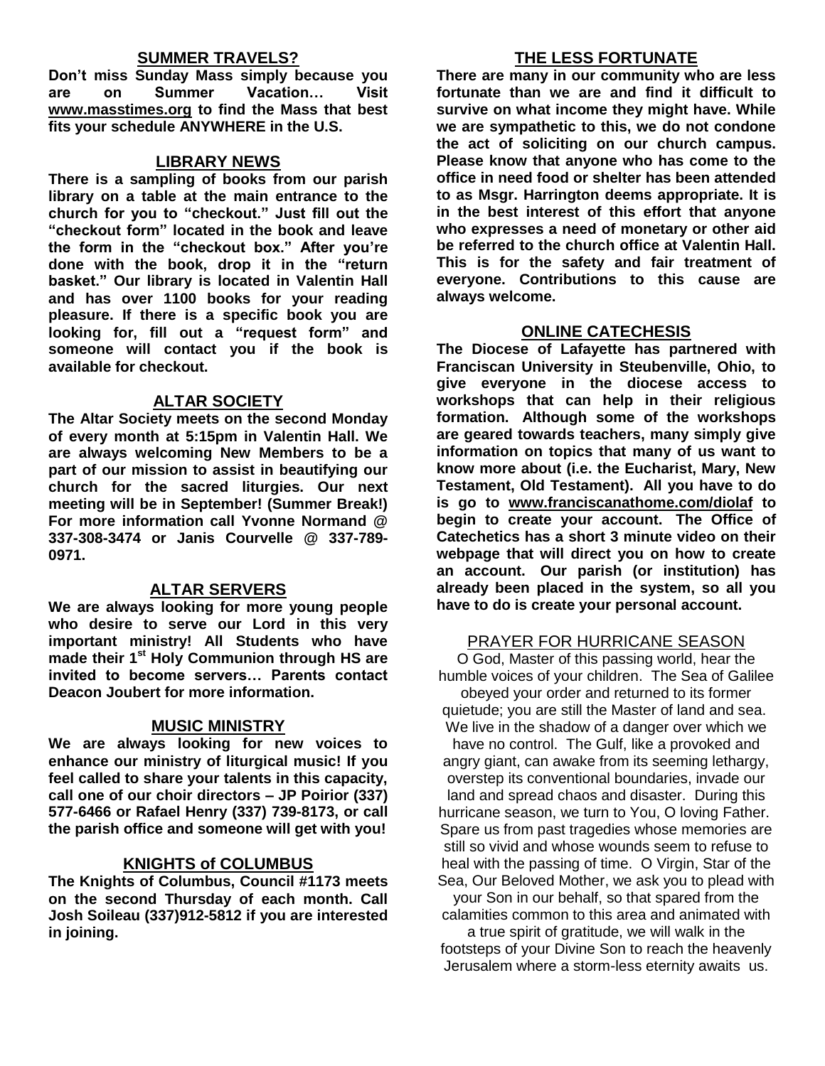#### **SUMMER TRAVELS?**

**Don't miss Sunday Mass simply because you are on Summer Vacation… Visit [www.masstimes.org](http://www.masstimes.org/) to find the Mass that best fits your schedule ANYWHERE in the U.S.**

#### **LIBRARY NEWS**

**There is a sampling of books from our parish library on a table at the main entrance to the church for you to "checkout." Just fill out the "checkout form" located in the book and leave the form in the "checkout box." After you're done with the book, drop it in the "return basket." Our library is located in Valentin Hall and has over 1100 books for your reading pleasure. If there is a specific book you are looking for, fill out a "request form" and someone will contact you if the book is available for checkout.**

#### **ALTAR SOCIETY**

**The Altar Society meets on the second Monday of every month at 5:15pm in Valentin Hall. We are always welcoming New Members to be a part of our mission to assist in beautifying our church for the sacred liturgies. Our next meeting will be in September! (Summer Break!) For more information call Yvonne Normand @ 337-308-3474 or Janis Courvelle @ 337-789- 0971.** 

#### **ALTAR SERVERS**

**We are always looking for more young people who desire to serve our Lord in this very important ministry! All Students who have made their 1st Holy Communion through HS are invited to become servers… Parents contact Deacon Joubert for more information.**

#### **MUSIC MINISTRY**

**We are always looking for new voices to enhance our ministry of liturgical music! If you feel called to share your talents in this capacity, call one of our choir directors – JP Poirior (337) 577-6466 or Rafael Henry (337) 739-8173, or call the parish office and someone will get with you!**

#### **KNIGHTS of COLUMBUS**

**The Knights of Columbus, Council #1173 meets on the second Thursday of each month. Call Josh Soileau (337)912-5812 if you are interested in joining.** 

#### **THE LESS FORTUNATE**

**There are many in our community who are less fortunate than we are and find it difficult to survive on what income they might have. While we are sympathetic to this, we do not condone the act of soliciting on our church campus. Please know that anyone who has come to the office in need food or shelter has been attended to as Msgr. Harrington deems appropriate. It is in the best interest of this effort that anyone who expresses a need of monetary or other aid be referred to the church office at Valentin Hall. This is for the safety and fair treatment of everyone. Contributions to this cause are always welcome.**

#### **ONLINE CATECHESIS**

**The Diocese of Lafayette has partnered with Franciscan University in Steubenville, Ohio, to give everyone in the diocese access to workshops that can help in their religious formation. Although some of the workshops are geared towards teachers, many simply give information on topics that many of us want to know more about (i.e. the Eucharist, Mary, New Testament, Old Testament). All you have to do is go to [www.franciscanathome.com/diolaf](http://www.franciscanathome.com/diolaf) to begin to create your account. The Office of Catechetics has a short 3 minute video on their webpage that will direct you on how to create an account. Our parish (or institution) has already been placed in the system, so all you have to do is create your personal account.**

#### PRAYER FOR HURRICANE SEASON

O God, Master of this passing world, hear the humble voices of your children. The Sea of Galilee obeyed your order and returned to its former quietude; you are still the Master of land and sea. We live in the shadow of a danger over which we have no control. The Gulf, like a provoked and angry giant, can awake from its seeming lethargy, overstep its conventional boundaries, invade our land and spread chaos and disaster. During this hurricane season, we turn to You, O loving Father. Spare us from past tragedies whose memories are still so vivid and whose wounds seem to refuse to heal with the passing of time. O Virgin, Star of the Sea, Our Beloved Mother, we ask you to plead with your Son in our behalf, so that spared from the

calamities common to this area and animated with

a true spirit of gratitude, we will walk in the footsteps of your Divine Son to reach the heavenly Jerusalem where a storm-less eternity awaits us.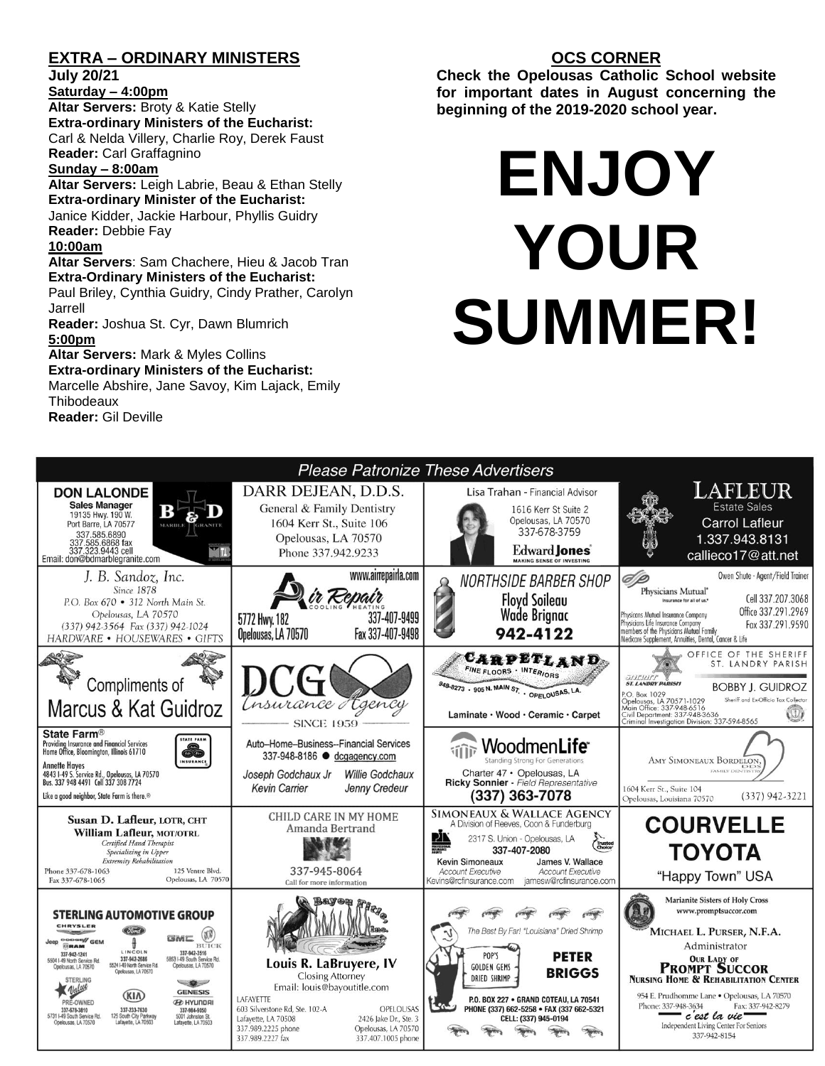## **EXTRA – ORDINARY MINISTERS**

**July 20/21**

#### **Saturday – 4:00pm**

**Altar Servers:** Broty & Katie Stelly **Extra-ordinary Ministers of the Eucharist:**  Carl & Nelda Villery, Charlie Roy, Derek Faust **Reader:** Carl Graffagnino

#### **Sunday – 8:00am**

**Altar Servers:** Leigh Labrie, Beau & Ethan Stelly **Extra-ordinary Minister of the Eucharist:** Janice Kidder, Jackie Harbour, Phyllis Guidry

**Reader:** Debbie Fay

#### **10:00am**

**Altar Servers**: Sam Chachere, Hieu & Jacob Tran **Extra-Ordinary Ministers of the Eucharist:**

Paul Briley, Cynthia Guidry, Cindy Prather, Carolyn Jarrell

**Reader:** Joshua St. Cyr, Dawn Blumrich

#### **5:00pm**

**Altar Servers:** Mark & Myles Collins **Extra-ordinary Ministers of the Eucharist:**

Marcelle Abshire, Jane Savoy, Kim Lajack, Emily **Thibodeaux Reader:** Gil Deville

#### **OCS CORNER**

**Check the Opelousas Catholic School website for important dates in August concerning the beginning of the 2019-2020 school year.** 

# **ENJOY YOUR SUMMER!**